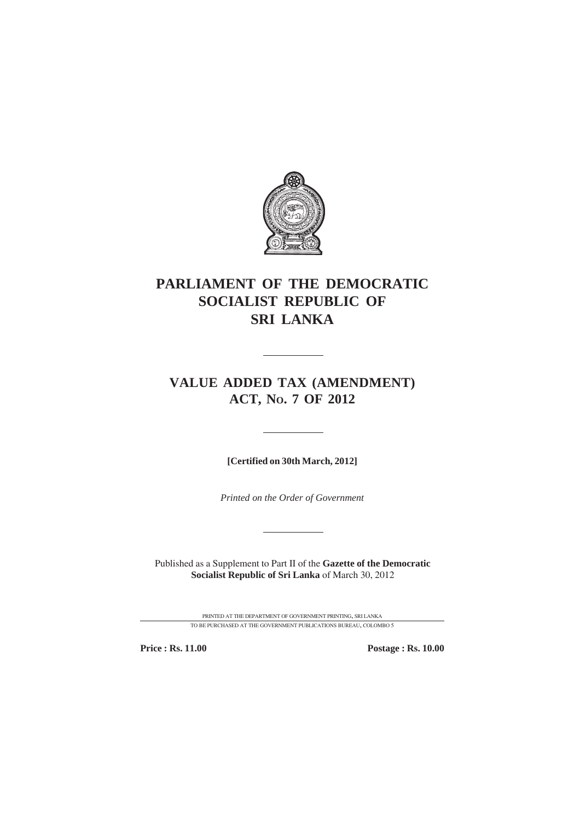

# **PARLIAMENT OF THE DEMOCRATIC SOCIALIST REPUBLIC OF SRI LANKA**

# **VALUE ADDED TAX (AMENDMENT) ACT, NO. 7 OF 2012**

**[Certified on 30th March, 2012]**

*Printed on the Order of Government*

Published as a Supplement to Part II of the **Gazette of the Democratic Socialist Republic of Sri Lanka** of March 30, 2012

> PRINTED AT THE DEPARTMENT OF GOVERNMENT PRINTING, SRI LANKA TO BE PURCHASED AT THE GOVERNMENT PUBLICATIONS BUREAU, COLOMBO 5

**Price : Rs. 11.00 Postage : Rs. 10.00**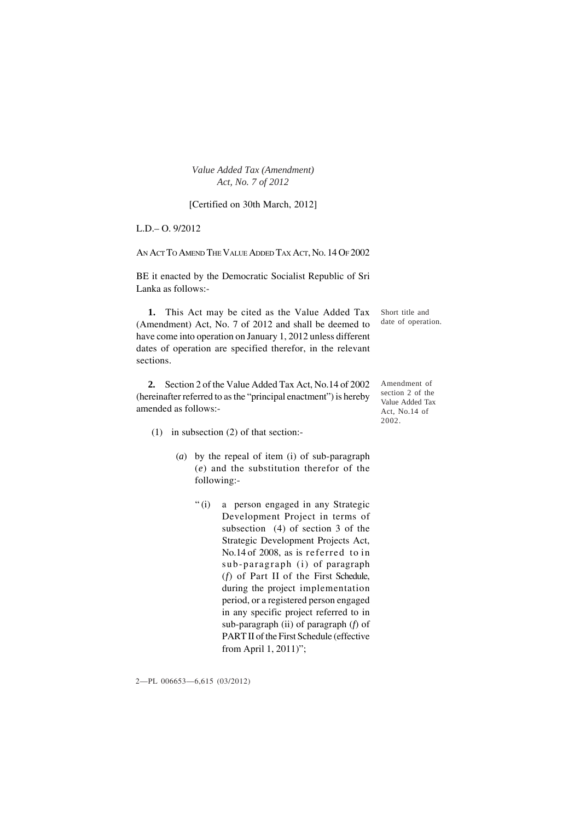#### [Certified on 30th March, 2012]

L.D.– O. 9/2012

AN ACT TO AMEND THE VALUE ADDED TAX ACT, NO. 14 OF 2002

BE it enacted by the Democratic Socialist Republic of Sri Lanka as follows:-

**1.** This Act may be cited as the Value Added Tax (Amendment) Act, No. 7 of 2012 and shall be deemed to have come into operation on January 1, 2012 unless different dates of operation are specified therefor, in the relevant sections.

**2.** Section 2 of the Value Added Tax Act, No.14 of 2002 (hereinafter referred to as the "principal enactment") is hereby amended as follows:-

Short title and date of operation.

Amendment of section 2 of the Value Added Tax Act, No.14 of 2002.

- (1) in subsection (2) of that section:-
	- (*a*) by the repeal of item (i) of sub-paragraph (*e*) and the substitution therefor of the following:-
		- "(i) a person engaged in any Strategic Development Project in terms of subsection (4) of section 3 of the Strategic Development Projects Act, No.14 of 2008, as is referred to in sub-paragraph (i) of paragraph (*f*) of Part II of the First Schedule, during the project implementation period, or a registered person engaged in any specific project referred to in sub-paragraph (ii) of paragraph (*f*) of PART II of the First Schedule (effective from April 1, 2011)";

2—PL 006653—6,615 (03/2012)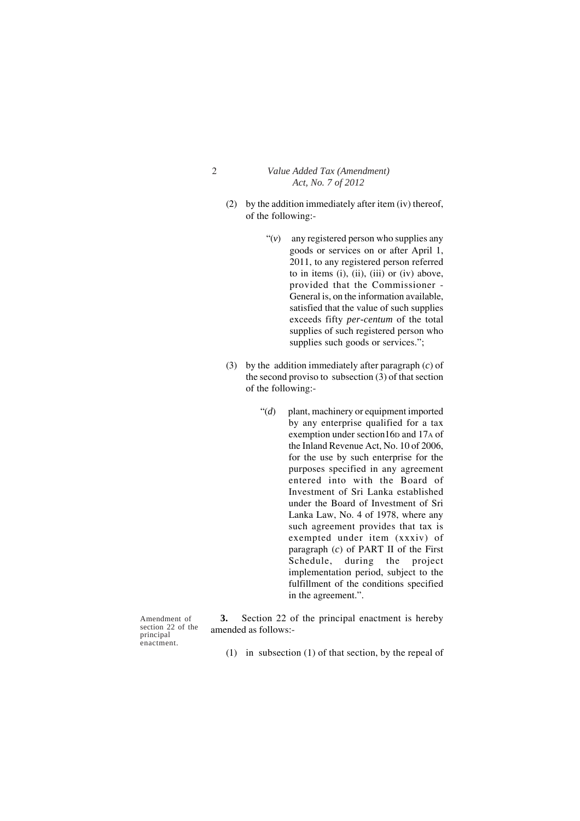- (2) by the addition immediately after item (iv) thereof, of the following:-
	- "(*v*) any registered person who supplies any goods or services on or after April 1, 2011, to any registered person referred to in items (i), (ii), (iii) or (iv) above, provided that the Commissioner - General is, on the information available, satisfied that the value of such supplies exceeds fifty *per-centum* of the total supplies of such registered person who supplies such goods or services.";
- (3) by the addition immediately after paragraph (*c*) of the second proviso to subsection (3) of that section of the following:-
	- "(*d*) plant, machinery or equipment imported by any enterprise qualified for a tax exemption under section16p and 17A of the Inland Revenue Act, No. 10 of 2006, for the use by such enterprise for the purposes specified in any agreement entered into with the Board of Investment of Sri Lanka established under the Board of Investment of Sri Lanka Law, No. 4 of 1978, where any such agreement provides that tax is exempted under item (xxxiv) of paragraph (*c*) of PART II of the First Schedule, during the project implementation period, subject to the fulfillment of the conditions specified in the agreement.".

Amendment of section 22 of the principal enactment.

**3.** Section 22 of the principal enactment is hereby amended as follows:-

(1) in subsection (1) of that section, by the repeal of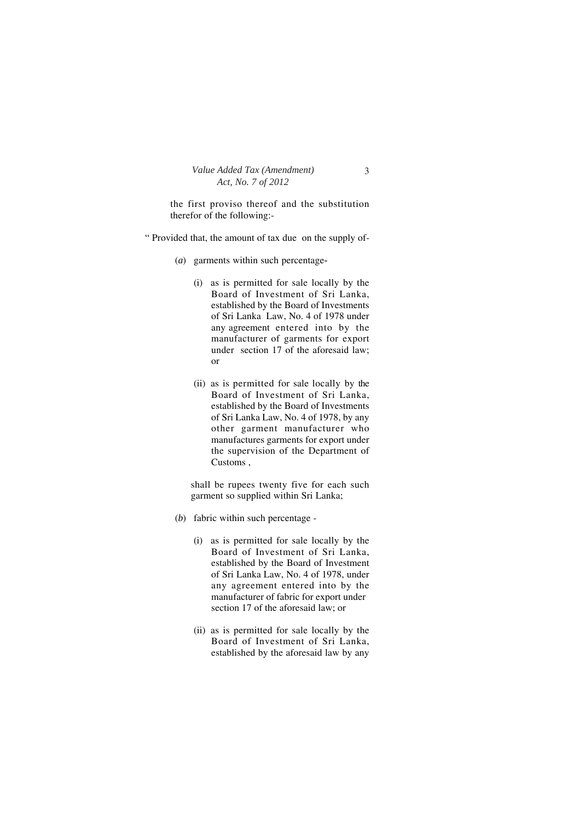the first proviso thereof and the substitution therefor of the following:-

- " Provided that, the amount of tax due on the supply of-
	- (*a*) garments within such percentage*-*
		- (i) as is permitted for sale locally by the Board of Investment of Sri Lanka, established by the Board of Investments of Sri Lanka Law, No. 4 of 1978 under any agreement entered into by the manufacturer of garments for export under section 17 of the aforesaid law; or
		- (ii) as is permitted for sale locally by the Board of Investment of Sri Lanka, established by the Board of Investments of Sri Lanka Law, No. 4 of 1978, by any other garment manufacturer who manufactures garments for export under the supervision of the Department of Customs ,

shall be rupees twenty five for each such garment so supplied within Sri Lanka;

- (*b*) fabric within such percentage
	- (i) as is permitted for sale locally by the Board of Investment of Sri Lanka, established by the Board of Investment of Sri Lanka Law, No. 4 of 1978, under any agreement entered into by the manufacturer of fabric for export under section 17 of the aforesaid law; or
	- (ii) as is permitted for sale locally by the Board of Investment of Sri Lanka, established by the aforesaid law by any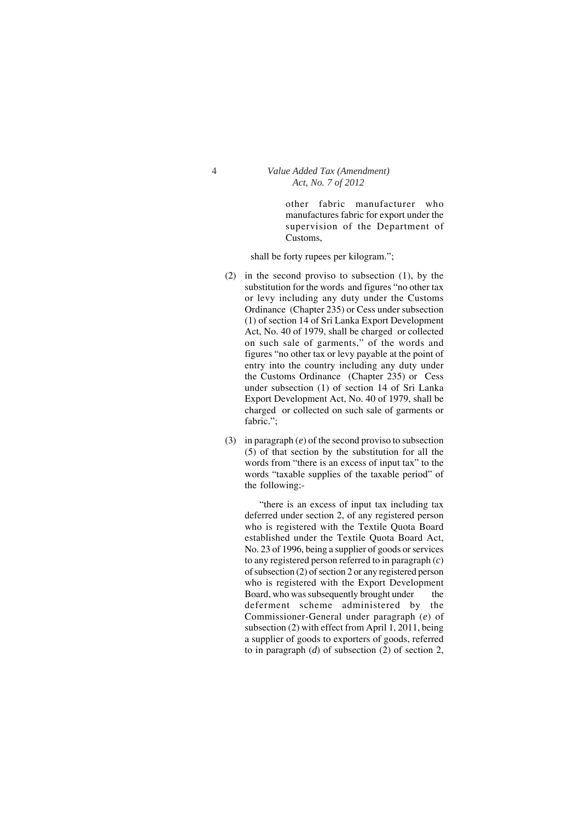other fabric manufacturer who manufactures fabric for export under the supervision of the Department of Customs,

shall be forty rupees per kilogram.";

- (2) in the second proviso to subsection (1), by the substitution for the words and figures "no other tax or levy including any duty under the Customs Ordinance (Chapter 235) or Cess under subsection (1) of section 14 of Sri Lanka Export Development Act, No. 40 of 1979, shall be charged or collected on such sale of garments," of the words and figures "no other tax or levy payable at the point of entry into the country including any duty under the Customs Ordinance (Chapter 235) or Cess under subsection (1) of section 14 of Sri Lanka Export Development Act, No. 40 of 1979, shall be charged or collected on such sale of garments or fabric.";
- (3) in paragraph (*e*) of the second proviso to subsection (5) of that section by the substitution for all the words from "there is an excess of input tax" to the words "taxable supplies of the taxable period" of the following:-

"there is an excess of input tax including tax deferred under section 2, of any registered person who is registered with the Textile Quota Board established under the Textile Quota Board Act, No. 23 of 1996, being a supplier of goods or services to any registered person referred to in paragraph (*c*) of subsection (2) of section 2 or any registered person who is registered with the Export Development Board, who was subsequently brought under the deferment scheme administered by the Commissioner-General under paragraph (*e*) of subsection (2) with effect from April 1, 2011, being a supplier of goods to exporters of goods, referred to in paragraph (*d*) of subsection (2) of section 2,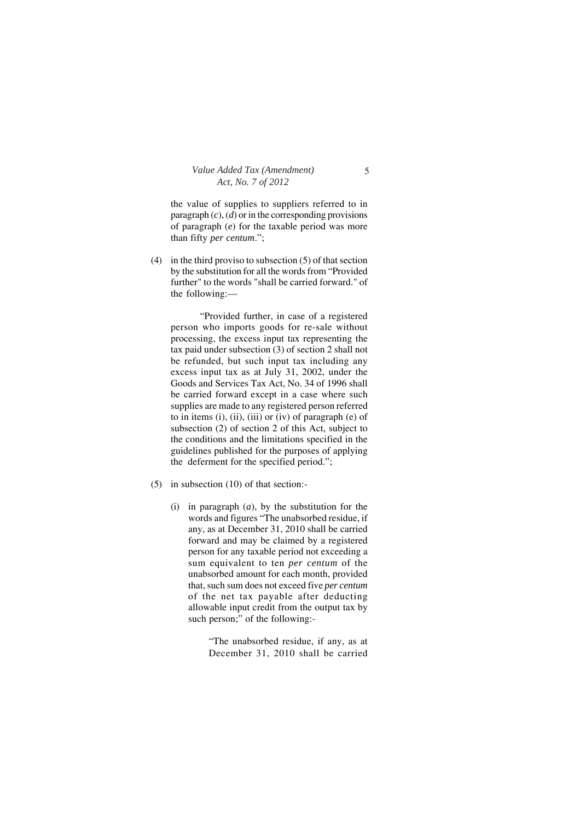the value of supplies to suppliers referred to in paragraph (*c*), (*d*) or in the corresponding provisions of paragraph (*e*) for the taxable period was more than fifty *per centum*.";

(4) in the third proviso to subsection (5) of that section by the substitution for all the words from "Provided further" to the words "shall be carried forward." of the following:—

"Provided further, in case of a registered person who imports goods for re-sale without processing, the excess input tax representing the tax paid under subsection (3) of section 2 shall not be refunded, but such input tax including any excess input tax as at July 31, 2002, under the Goods and Services Tax Act, No. 34 of 1996 shall be carried forward except in a case where such supplies are made to any registered person referred to in items  $(i)$ ,  $(ii)$ ,  $(iii)$  or  $(iv)$  of paragraph  $(e)$  of subsection (2) of section 2 of this Act, subject to the conditions and the limitations specified in the guidelines published for the purposes of applying the deferment for the specified period.";

- (5) in subsection (10) of that section:-
	- (i) in paragraph (*a*), by the substitution for the words and figures "The unabsorbed residue, if any, as at December 31, 2010 shall be carried forward and may be claimed by a registered person for any taxable period not exceeding a sum equivalent to ten *per centum* of the unabsorbed amount for each month, provided that, such sum does not exceed five *per centum* of the net tax payable after deducting allowable input credit from the output tax by such person;" of the following:-

"The unabsorbed residue, if any, as at December 31, 2010 shall be carried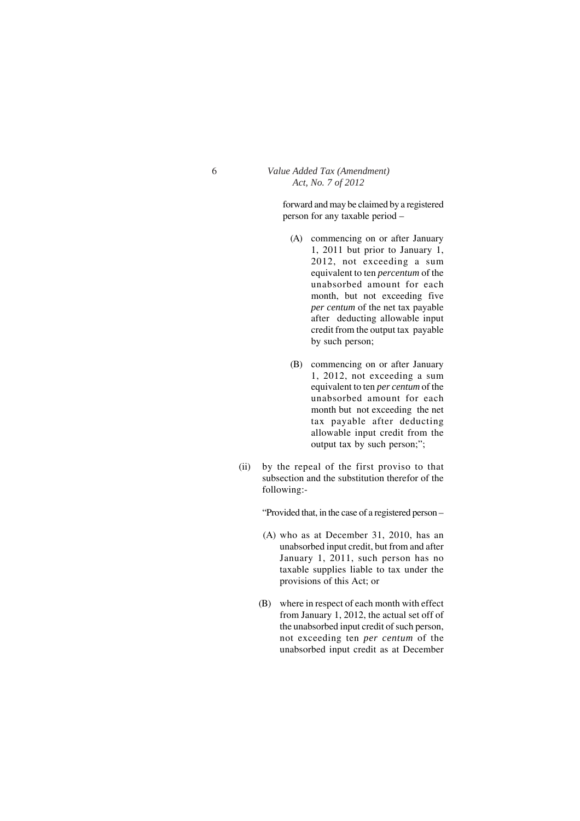forward and may be claimed by a registered person for any taxable period –

- (A) commencing on or after January 1, 2011 but prior to January 1, 2012, not exceeding a sum equivalent to ten *percentum* of the unabsorbed amount for each month, but not exceeding five *per centum* of the net tax payable after deducting allowable input credit from the output tax payable by such person;
- (B) commencing on or after January 1, 2012, not exceeding a sum equivalent to ten *per centum* of the unabsorbed amount for each month but not exceeding the net tax payable after deducting allowable input credit from the output tax by such person;";
- (ii) by the repeal of the first proviso to that subsection and the substitution therefor of the following:-

"Provided that, in the case of a registered person –

- (A) who as at December 31, 2010, has an unabsorbed input credit, but from and after January 1, 2011, such person has no taxable supplies liable to tax under the provisions of this Act; or
- (B) where in respect of each month with effect from January 1, 2012, the actual set off of the unabsorbed input credit of such person, not exceeding ten *per centum* of the unabsorbed input credit as at December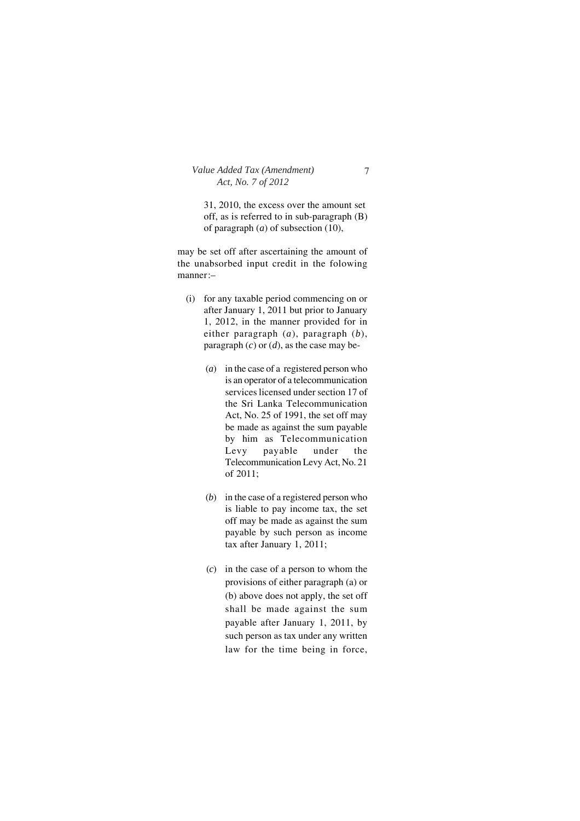31, 2010, the excess over the amount set off, as is referred to in sub-paragraph (B) of paragraph (*a*) of subsection (10),

may be set off after ascertaining the amount of the unabsorbed input credit in the folowing manner:–

- (i) for any taxable period commencing on or after January 1, 2011 but prior to January 1, 2012, in the manner provided for in either paragraph (*a*), paragraph (*b*), paragraph (*c*) or (*d*), as the case may be-
	- (*a*) in the case of a registered person who is an operator of a telecommunication services licensed under section 17 of the Sri Lanka Telecommunication Act, No. 25 of 1991, the set off may be made as against the sum payable by him as Telecommunication Levy payable under the Telecommunication Levy Act, No. 21 of 2011;
	- (*b*) in the case of a registered person who is liable to pay income tax, the set off may be made as against the sum payable by such person as income tax after January 1, 2011;
	- (*c*) in the case of a person to whom the provisions of either paragraph (a) or (b) above does not apply, the set off shall be made against the sum payable after January 1, 2011, by such person as tax under any written law for the time being in force,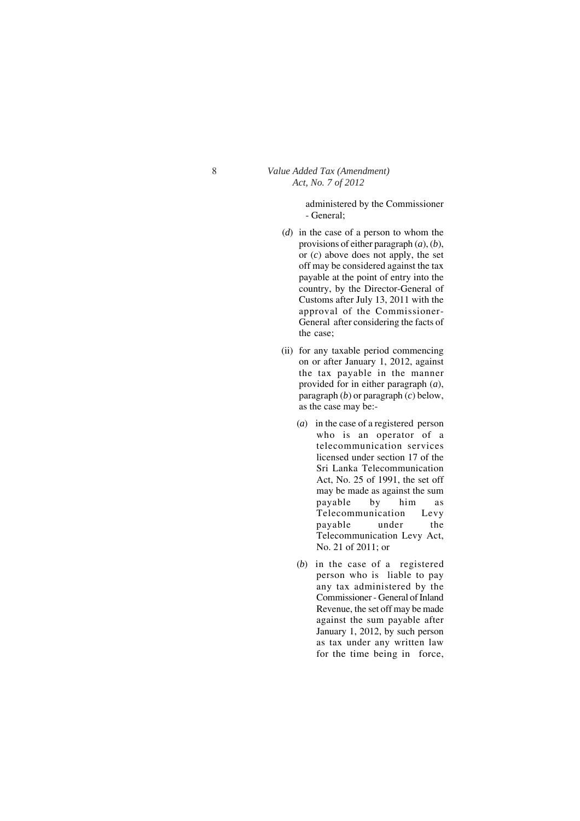administered by the Commissioner - General;

- (*d*) in the case of a person to whom the provisions of either paragraph (*a*), (*b*), or (*c*) above does not apply, the set off may be considered against the tax payable at the point of entry into the country, by the Director-General of Customs after July 13, 2011 with the approval of the Commissioner-General after considering the facts of the case;
- (ii) for any taxable period commencing on or after January 1, 2012, against the tax payable in the manner provided for in either paragraph (*a*), paragraph (*b*) or paragraph (*c*) below, as the case may be:-
	- (*a*) in the case of a registered person who is an operator of a telecommunication services licensed under section 17 of the Sri Lanka Telecommunication Act, No. 25 of 1991, the set off may be made as against the sum payable by him as Telecommunication Levy payable under the Telecommunication Levy Act, No. 21 of 2011; or
	- (*b*) in the case of a registered person who is liable to pay any tax administered by the Commissioner - General of Inland Revenue, the set off may be made against the sum payable after January 1, 2012, by such person as tax under any written law for the time being in force,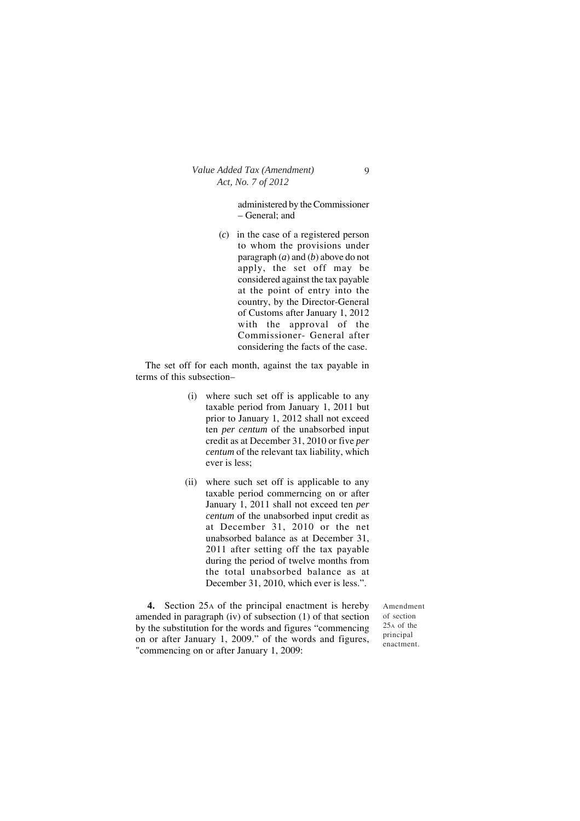administered by the Commissioner – General; and

(*c*) in the case of a registered person to whom the provisions under paragraph (*a*) and (*b*) above do not apply, the set off may be considered against the tax payable at the point of entry into the country, by the Director-General of Customs after January 1, 2012 with the approval of the Commissioner- General after considering the facts of the case.

The set off for each month, against the tax payable in terms of this subsection–

- (i) where such set off is applicable to any taxable period from January 1, 2011 but prior to January 1, 2012 shall not exceed ten *per centum* of the unabsorbed input credit as at December 31, 2010 or five *per centum* of the relevant tax liability, which ever is less;
- (ii) where such set off is applicable to any taxable period commerncing on or after January 1, 2011 shall not exceed ten *per centum* of the unabsorbed input credit as at December 31, 2010 or the net unabsorbed balance as at December 31, 2011 after setting off the tax payable during the period of twelve months from the total unabsorbed balance as at December 31, 2010, which ever is less.".

**4.** Section 25A of the principal enactment is hereby amended in paragraph (iv) of subsection (1) of that section by the substitution for the words and figures "commencing on or after January 1, 2009." of the words and figures, "commencing on or after January 1, 2009:

Amendment of section 25A of the principal enactment.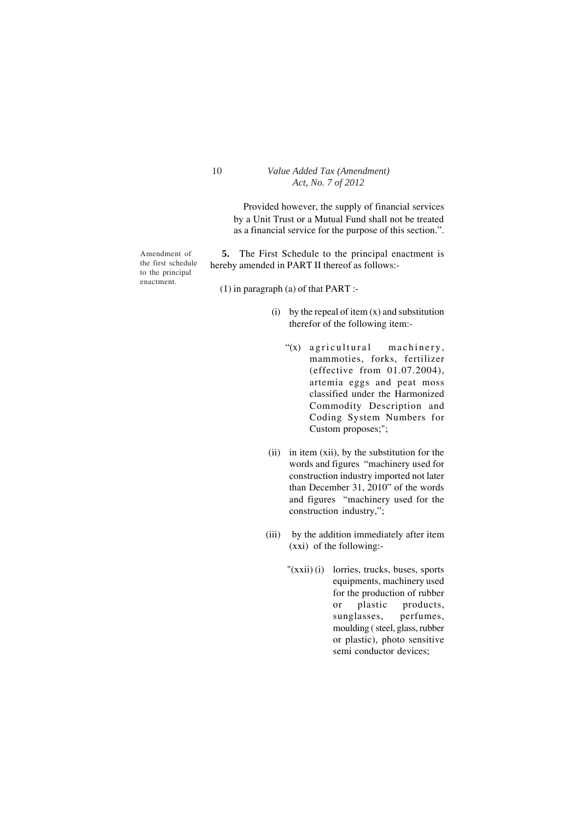Provided however, the supply of financial services by a Unit Trust or a Mutual Fund shall not be treated as a financial service for the purpose of this section.".

Amendment of the first schedule to the principal enactment.

**5.** The First Schedule to the principal enactment is hereby amended in PART II thereof as follows:-

(1) in paragraph (a) of that PART :-

- (i) by the repeal of item  $(x)$  and substitution therefor of the following item:-
	- "(x) agricultural machinery, mammoties, forks, fertilizer (effective from 01.07.2004), artemia eggs and peat moss classified under the Harmonized Commodity Description and Coding System Numbers for Custom proposes;";
- (ii) in item (xii), by the substitution for the words and figures "machinery used for construction industry imported not later than December 31, 2010" of the words and figures "machinery used for the construction industry,";
- (iii) by the addition immediately after item (xxi) of the following:-
	- "(xxii) (i) lorries, trucks, buses, sports equipments, machinery used for the production of rubber or plastic products, sunglasses, perfumes, moulding ( steel, glass, rubber or plastic), photo sensitive semi conductor devices;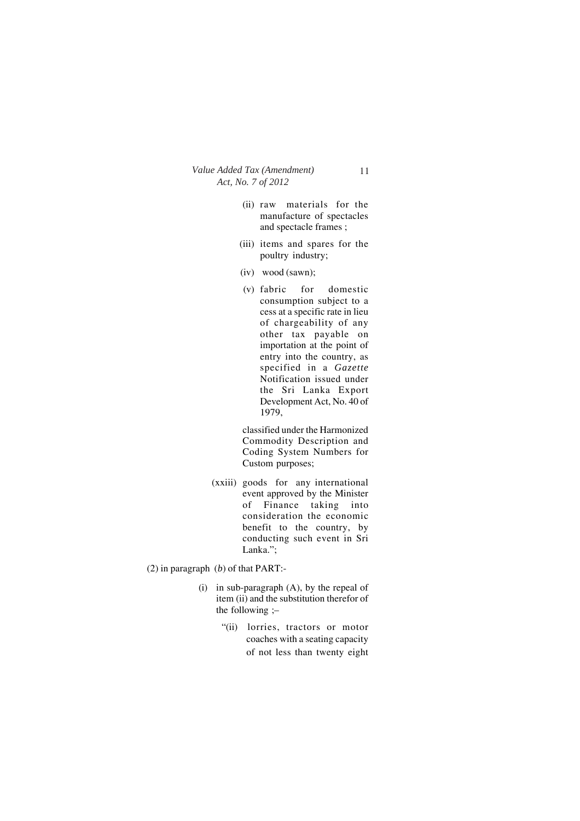- (ii) raw materials for the manufacture of spectacles and spectacle frames ;
- (iii) items and spares for the poultry industry;
- (iv) wood (sawn);
- (v) fabric for domestic consumption subject to a cess at a specific rate in lieu of chargeability of any other tax payable on importation at the point of entry into the country, as specified in a *Gazette* Notification issued under the Sri Lanka Export Development Act, No. 40 of 1979,

classified under the Harmonized Commodity Description and Coding System Numbers for Custom purposes;

- (xxiii) goods for any international event approved by the Minister of Finance taking into consideration the economic benefit to the country, by conducting such event in Sri Lanka.";
- (2) in paragraph (*b*) of that PART:-
	- (i) in sub-paragraph (A), by the repeal of item (ii) and the substitution therefor of the following ;–
		- "(ii) lorries, tractors or motor coaches with a seating capacity of not less than twenty eight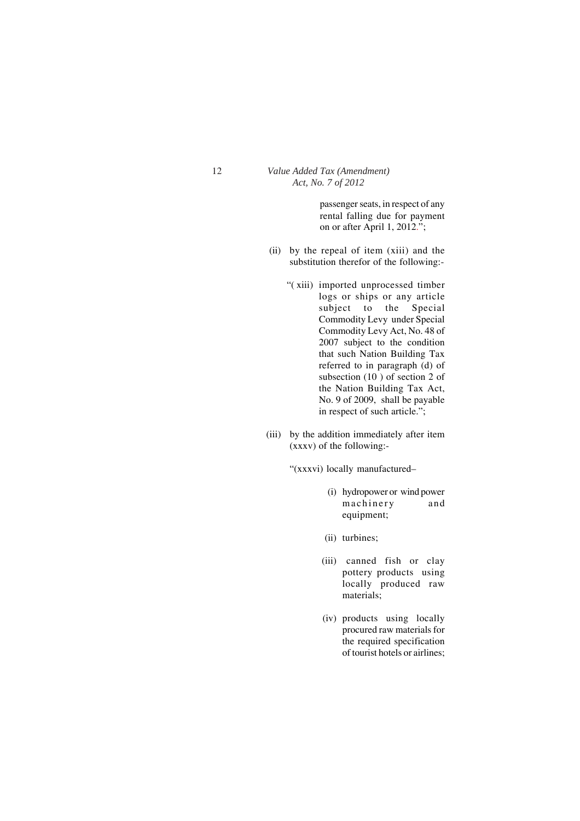passenger seats, in respect of any rental falling due for payment on or after April 1, 2012.";

- (ii) by the repeal of item (xiii) and the substitution therefor of the following:-
	- "( xiii) imported unprocessed timber logs or ships or any article subject to the Special Commodity Levy under Special Commodity Levy Act, No. 48 of 2007 subject to the condition that such Nation Building Tax referred to in paragraph (d) of subsection (10 ) of section 2 of the Nation Building Tax Act, No. 9 of 2009, shall be payable in respect of such article.";
- (iii) by the addition immediately after item (xxxv) of the following:-

"(xxxvi) locally manufactured–

- (i) hydropower or wind power machinery and equipment;
- (ii) turbines;
- (iii) canned fish or clay pottery products using locally produced raw materials;
- (iv) products using locally procured raw materials for the required specification of tourist hotels or airlines;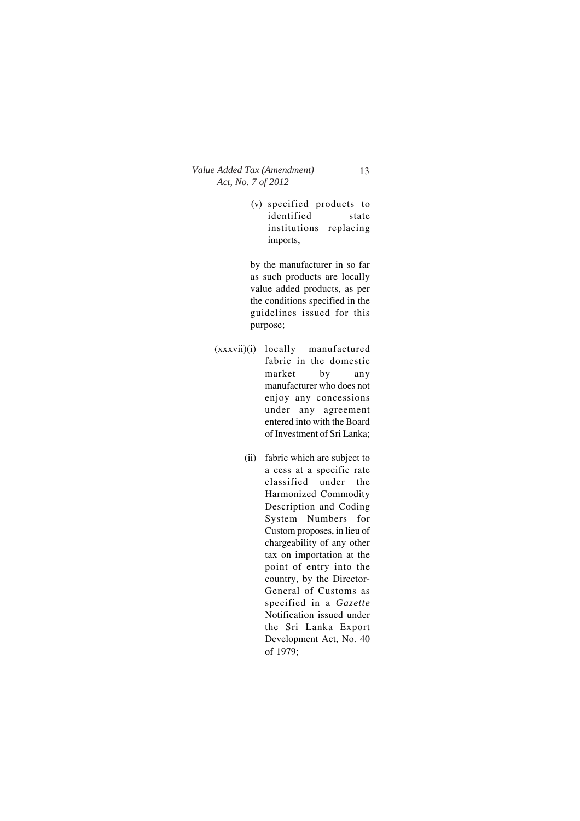(v) specified products to identified state institutions replacing imports,

by the manufacturer in so far as such products are locally value added products, as per the conditions specified in the guidelines issued for this purpose;

- (xxxvii)(i) locally manufactured fabric in the domestic market by any manufacturer who does not enjoy any concessions under any agreement entered into with the Board of Investment of Sri Lanka;
	- (ii) fabric which are subject to a cess at a specific rate classified under the Harmonized Commodity Description and Coding System Numbers for Custom proposes, in lieu of chargeability of any other tax on importation at the point of entry into the country, by the Director-General of Customs as specified in a *Gazette* Notification issued under the Sri Lanka Export Development Act, No. 40 of 1979;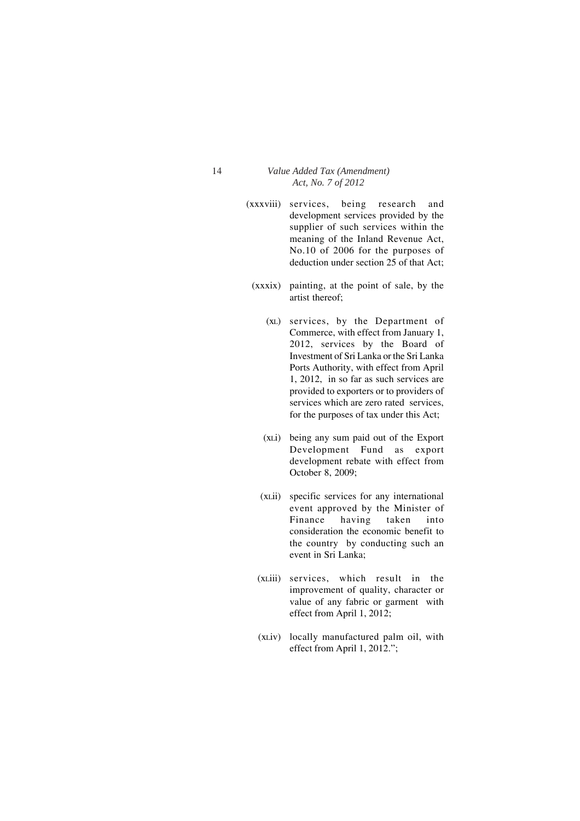- (xxxviii) services, being research and development services provided by the supplier of such services within the meaning of the Inland Revenue Act, No.10 of 2006 for the purposes of deduction under section 25 of that Act;
	- (xxxix) painting, at the point of sale, by the artist thereof;
		- (xL) services, by the Department of Commerce, with effect from January 1, 2012, services by the Board of Investment of Sri Lanka or the Sri Lanka Ports Authority, with effect from April 1, 2012, in so far as such services are provided to exporters or to providers of services which are zero rated services, for the purposes of tax under this Act;
		- (xLi) being any sum paid out of the Export Development Fund as export development rebate with effect from October 8, 2009;
		- (xLii) specific services for any international event approved by the Minister of Finance having taken into consideration the economic benefit to the country by conducting such an event in Sri Lanka;
	- (xLiii) services, which result in the improvement of quality, character or value of any fabric or garment with effect from April 1, 2012;
	- (xLiv) locally manufactured palm oil, with effect from April 1, 2012.";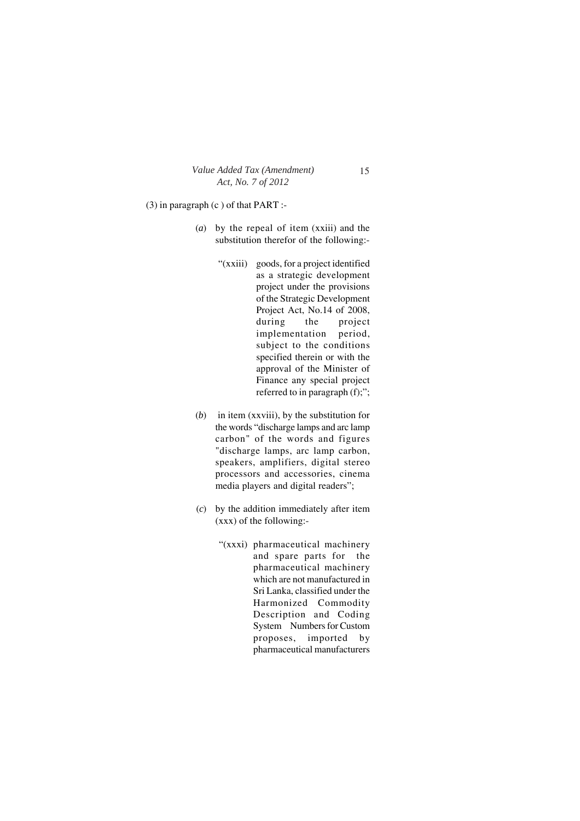(3) in paragraph (c ) of that PART :-

- (*a*) by the repeal of item (xxiii) and the substitution therefor of the following:-
	- "(xxiii) goods, for a project identified as a strategic development project under the provisions of the Strategic Development Project Act, No.14 of 2008, during the project implementation period, subject to the conditions specified therein or with the approval of the Minister of Finance any special project referred to in paragraph (f);";
- (*b*) in item (xxviii), by the substitution for the words "discharge lamps and arc lamp carbon" of the words and figures "discharge lamps, arc lamp carbon, speakers, amplifiers, digital stereo processors and accessories, cinema media players and digital readers";
- (*c*) by the addition immediately after item (xxx) of the following:-
	- "(xxxi) pharmaceutical machinery and spare parts for the pharmaceutical machinery which are not manufactured in Sri Lanka, classified under the Harmonized Commodity Description and Coding System Numbers for Custom proposes, imported by pharmaceutical manufacturers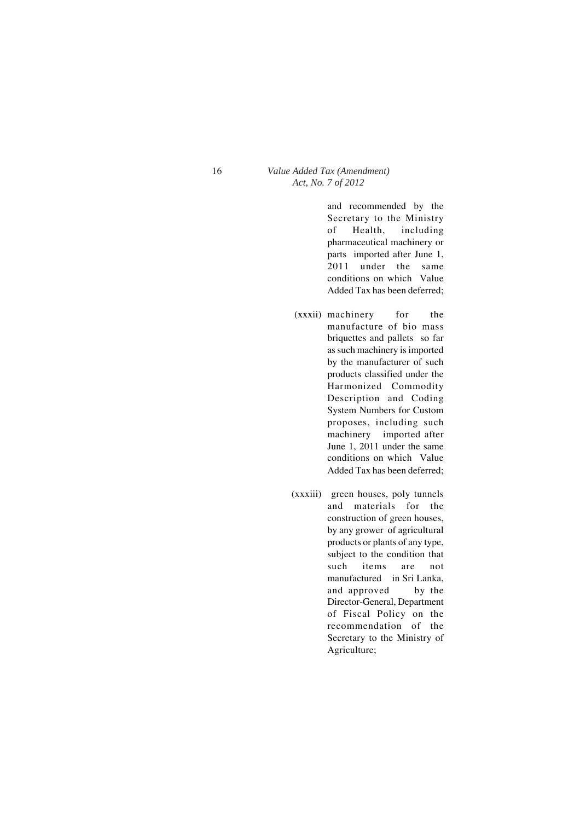and recommended by the Secretary to the Ministry of Health, including pharmaceutical machinery or parts imported after June 1, 2011 under the same conditions on which Value Added Tax has been deferred;

- (xxxii) machinery for the manufacture of bio mass briquettes and pallets so far as such machinery is imported by the manufacturer of such products classified under the Harmonized Commodity Description and Coding System Numbers for Custom proposes, including such machinery imported after June 1, 2011 under the same conditions on which Value Added Tax has been deferred;
- (xxxiii) green houses, poly tunnels and materials for the construction of green houses, by any grower of agricultural products or plants of any type, subject to the condition that such items are not manufactured in Sri Lanka, and approved by the Director-General, Department of Fiscal Policy on the recommendation of the Secretary to the Ministry of Agriculture;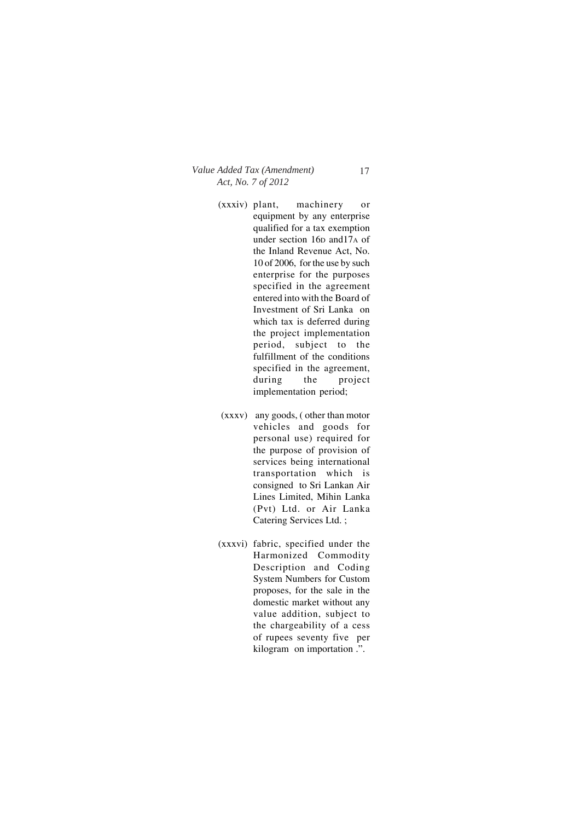- (xxxiv) plant, machinery or equipment by any enterprise qualified for a tax exemption under section 16D and17A of the Inland Revenue Act, No. 10 of 2006, for the use by such enterprise for the purposes specified in the agreement entered into with the Board of Investment of Sri Lanka on which tax is deferred during the project implementation period, subject to the fulfillment of the conditions specified in the agreement, during the project implementation period;
- (xxxv) any goods, ( other than motor vehicles and goods for personal use) required for the purpose of provision of services being international transportation which is consigned to Sri Lankan Air Lines Limited, Mihin Lanka (Pvt) Ltd. or Air Lanka Catering Services Ltd. ;
- (xxxvi) fabric, specified under the Harmonized Commodity Description and Coding System Numbers for Custom proposes, for the sale in the domestic market without any value addition, subject to the chargeability of a cess of rupees seventy five per kilogram on importation .".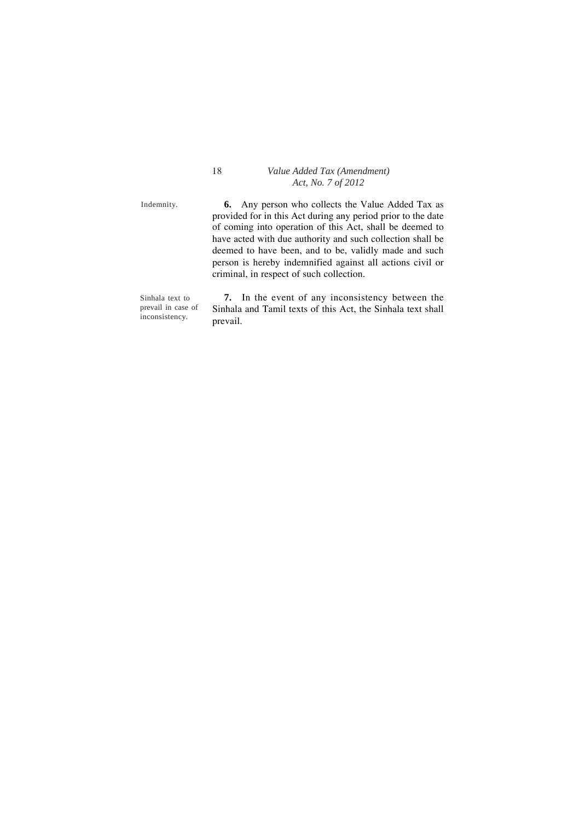Indemnity.

**6.** Any person who collects the Value Added Tax as provided for in this Act during any period prior to the date of coming into operation of this Act, shall be deemed to have acted with due authority and such collection shall be deemed to have been, and to be, validly made and such person is hereby indemnified against all actions civil or criminal, in respect of such collection.

Sinhala text to prevail in case of inconsistency.

**7.** In the event of any inconsistency between the Sinhala and Tamil texts of this Act, the Sinhala text shall prevail.